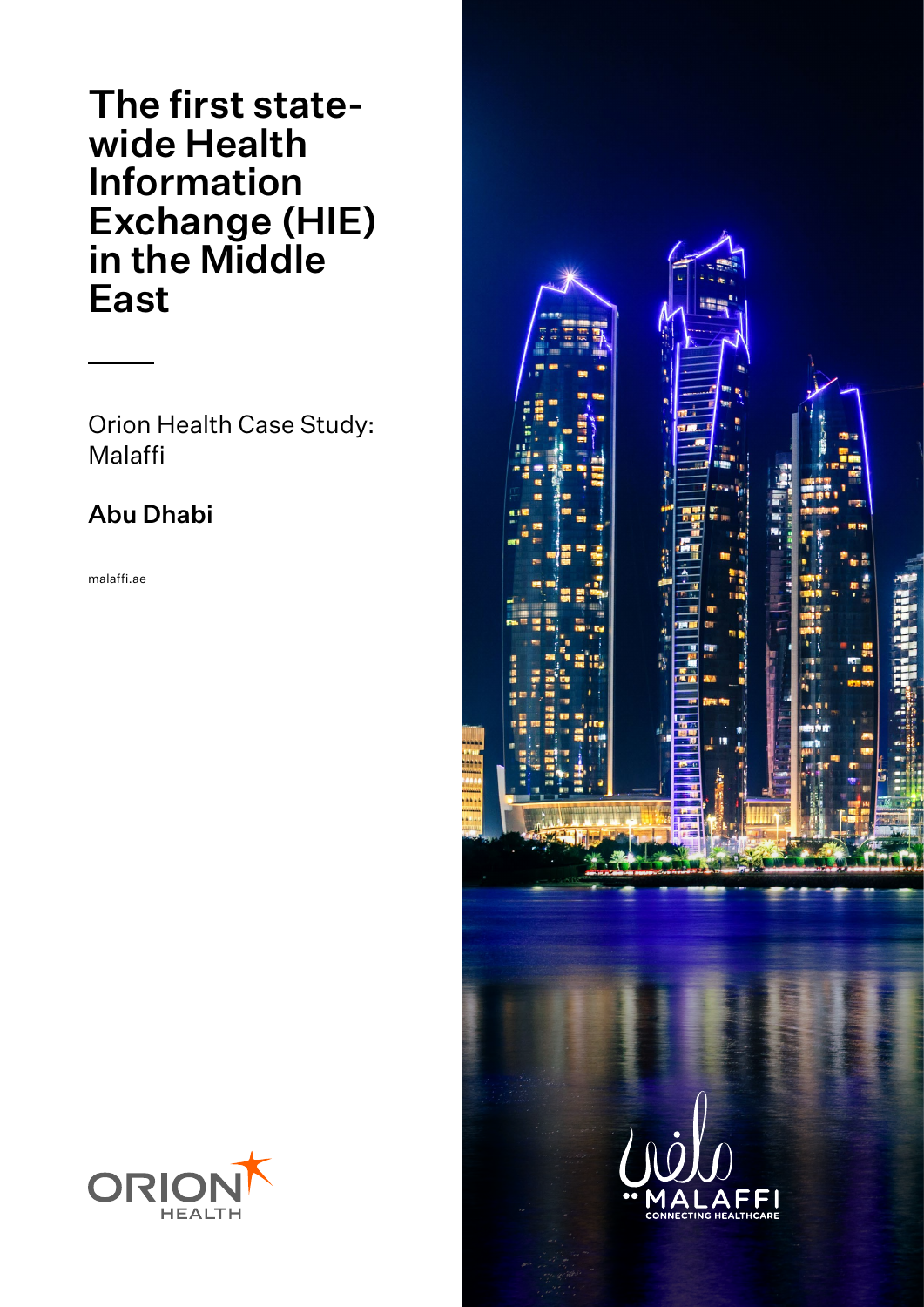The first statewide Health Information Exchange (HIE) in the Middle East

Orion Health Case Study: Malaffi

## Abu Dhabi

malaffi.ae



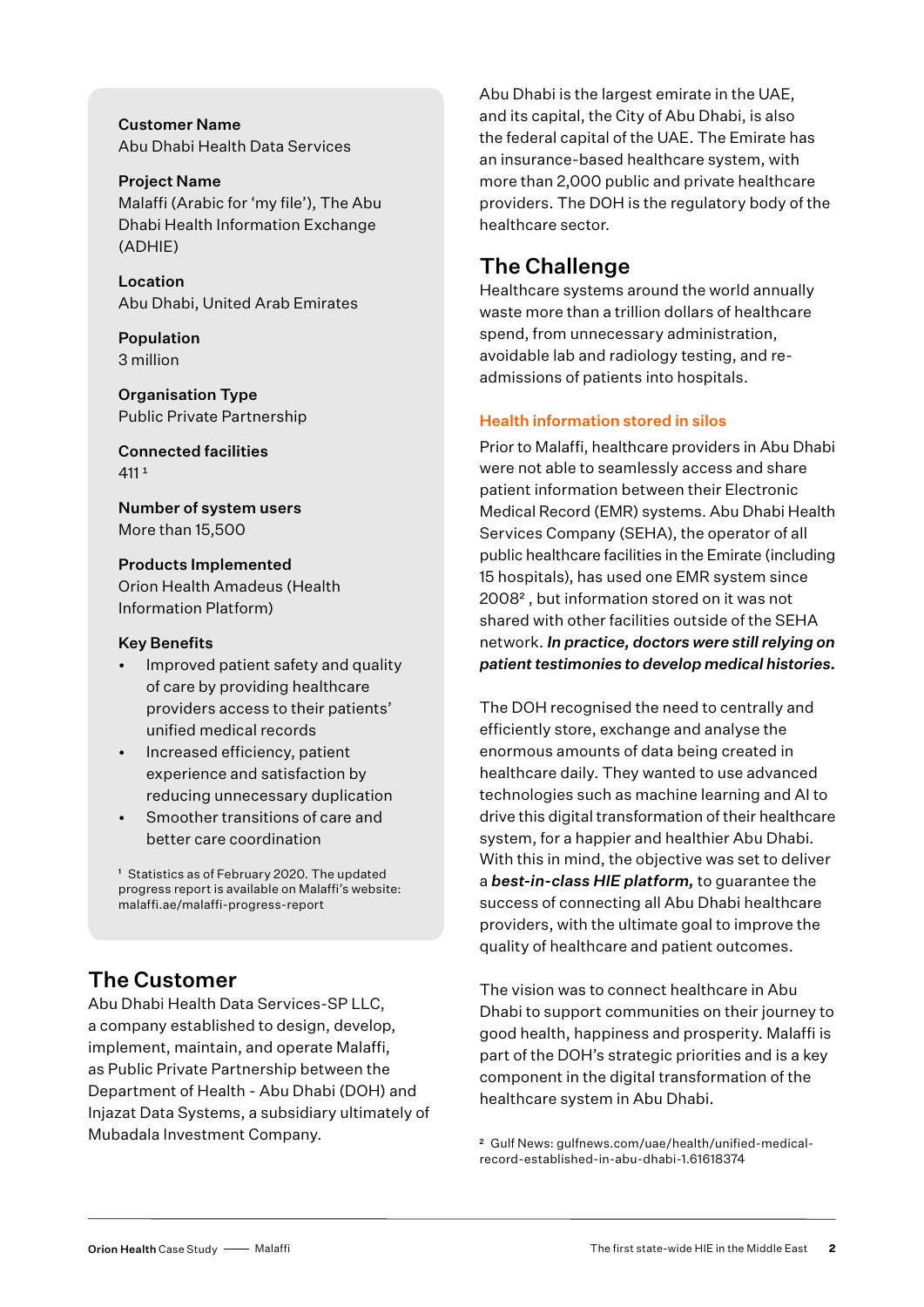Customer Name Abu Dhabi Health Data Services

Project Name Malaffi (Arabic for 'my file'), The Abu Dhabi Health Information Exchange (ADHIE)

Location Abu Dhabi, United Arab Emirates

Population 3 million

Organisation Type Public Private Partnership

Connected facilities  $411<sup>1</sup>$ 

Number of system users More than 15,500

Products Implemented Orion Health Amadeus (Health Information Platform)

#### Key Benefits

- Improved patient safety and quality of care by providing healthcare providers access to their patients' unified medical records
- Increased efficiency, patient experience and satisfaction by reducing unnecessary duplication
- Smoother transitions of care and better care coordination

<sup>1</sup> Statistics as of February 2020. The updated progress report is available on Malaffi's website: malaffi.ae/malaffi-progress-report

## The Customer

Abu Dhabi Health Data Services-SP LLC, a company established to design, develop, implement, maintain, and operate Malaffi, as Public Private Partnership between the Department of Health - Abu Dhabi (DOH) and Injazat Data Systems, a subsidiary ultimately of Mubadala Investment Company.

Abu Dhabi is the largest emirate in the UAE, and its capital, the City of Abu Dhabi, is also the federal capital of the UAE. The Emirate has an insurance-based healthcare system, with more than 2,000 public and private healthcare providers. The DOH is the regulatory body of the healthcare sector.

## The Challenge

Healthcare systems around the world annually waste more than a trillion dollars of healthcare spend, from unnecessary administration, avoidable lab and radiology testing, and readmissions of patients into hospitals.

### Health information stored in silos

Prior to Malaffi, healthcare providers in Abu Dhabi were not able to seamlessly access and share patient information between their Electronic Medical Record (EMR) systems. Abu Dhabi Health Services Company (SEHA), the operator of all public healthcare facilities in the Emirate (including 15 hospitals), has used one EMR system since 2008² , but information stored on it was not shared with other facilities outside of the SEHA network. *In practice, doctors were still relying on patient testimonies to develop medical histories.*

The DOH recognised the need to centrally and efficiently store, exchange and analyse the enormous amounts of data being created in healthcare daily. They wanted to use advanced technologies such as machine learning and AI to drive this digital transformation of their healthcare system, for a happier and healthier Abu Dhabi. With this in mind, the objective was set to deliver a *best-in-class HIE platform,* to guarantee the success of connecting all Abu Dhabi healthcare providers, with the ultimate goal to improve the quality of healthcare and patient outcomes.

The vision was to connect healthcare in Abu Dhabi to support communities on their journey to good health, happiness and prosperity. Malaffi is part of the DOH's strategic priorities and is a key component in the digital transformation of the healthcare system in Abu Dhabi.

2 Gulf News: gulfnews.com/uae/health/unified-medicalrecord-established-in-abu-dhabi-1.61618374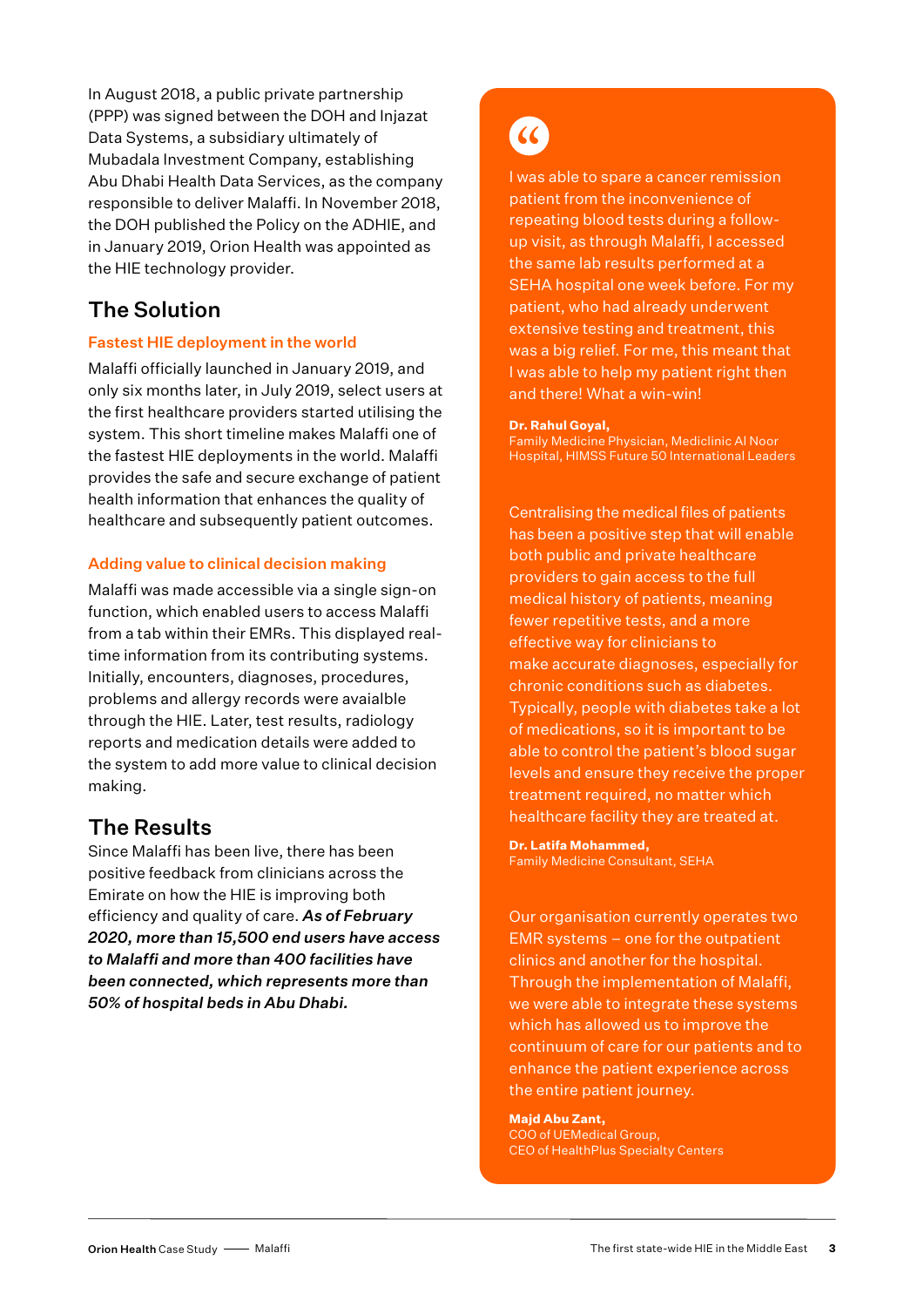In August 2018, a public private partnership (PPP) was signed between the DOH and Injazat Data Systems, a subsidiary ultimately of Mubadala Investment Company, establishing Abu Dhabi Health Data Services, as the company responsible to deliver Malaffi. In November 2018, the DOH published the Policy on the ADHIE, and in January 2019, Orion Health was appointed as the HIE technology provider.

## The Solution

### Fastest HIE deployment in the world

Malaffi officially launched in January 2019, and only six months later, in July 2019, select users at the first healthcare providers started utilising the system. This short timeline makes Malaffi one of the fastest HIE deployments in the world. Malaffi provides the safe and secure exchange of patient health information that enhances the quality of healthcare and subsequently patient outcomes.

### Adding value to clinical decision making

Malaffi was made accessible via a single sign-on function, which enabled users to access Malaffi from a tab within their EMRs. This displayed realtime information from its contributing systems. Initially, encounters, diagnoses, procedures, problems and allergy records were avaialble through the HIE. Later, test results, radiology reports and medication details were added to the system to add more value to clinical decision making.

## The Results

Since Malaffi has been live, there has been positive feedback from clinicians across the Emirate on how the HIE is improving both efficiency and quality of care. *As of February 2020, more than 15,500 end users have access to Malaffi and more than 400 facilities have been connected, which represents more than 50% of hospital beds in Abu Dhabi.*

# $\alpha$

I was able to spare a cancer remission patient from the inconvenience of repeating blood tests during a followup visit, as through Malaffi, I accessed the same lab results performed at a SEHA hospital one week before. For my patient, who had already underwent extensive testing and treatment, this was a big relief. For me, this meant that I was able to help my patient right then and there! What a win-win!

#### **Dr. Rahul Goyal,**

Family Medicine Physician, Mediclinic Al Noor Hospital, HIMSS Future 50 International Leaders

Centralising the medical files of patients has been a positive step that will enable both public and private healthcare providers to gain access to the full medical history of patients, meaning fewer repetitive tests, and a more effective way for clinicians to make accurate diagnoses, especially for chronic conditions such as diabetes. Typically, people with diabetes take a lot of medications, so it is important to be able to control the patient's blood sugar levels and ensure they receive the proper treatment required, no matter which healthcare facility they are treated at.

**Dr. Latifa Mohammed,**  Family Medicine Consultant, SEHA

Our organisation currently operates two EMR systems – one for the outpatient clinics and another for the hospital. Through the implementation of Malaffi, we were able to integrate these systems which has allowed us to improve the continuum of care for our patients and to enhance the patient experience across the entire patient journey.

#### **Majd Abu Zant,**

COO of UEMedical Group, CEO of HealthPlus Specialty Centers